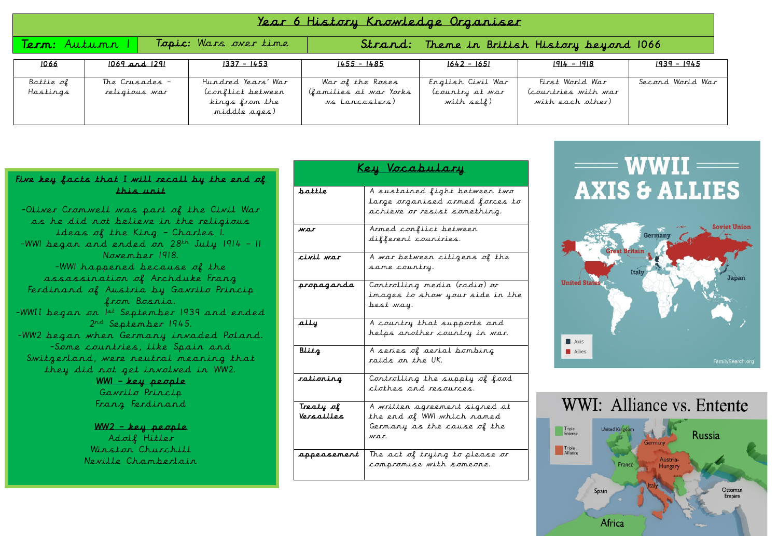| <u>Year 6 History Knowledge Organiser</u> |                                 |  |                                                                          |                                                              |                                                    |                                                            |                  |
|-------------------------------------------|---------------------------------|--|--------------------------------------------------------------------------|--------------------------------------------------------------|----------------------------------------------------|------------------------------------------------------------|------------------|
| Topic: Wars over time<br>Term: Autunn     |                                 |  | Strand: Theme in British History beyond 1066                             |                                                              |                                                    |                                                            |                  |
| 1066                                      | $1069$ and $1291$               |  | $1337 - 1453$                                                            | $1455 - 1485$                                                | $1642 - 1651$                                      | $1914 - 1918$                                              | $1939 - 1945$    |
| Battle of<br>Hastings                     | The Crusades -<br>religious war |  | Hundred Years' War<br>Conflict between<br>kings from the<br>middle ages) | War of the Roses<br>(families at war Yorks<br>vs Lancasters) | English Civil War<br>(country at war<br>with self) | First World War<br>(countries with war<br>with each other) | Second World War |

## Five key facts that I will recall by the end of this unit

-Oliver Cromwell was part of the Civil War as he did not believe in the religious ideas of the King – Charles 1. -WWI began and ended on  $28<sup>th</sup>$  July 1914 - 11 November 1918. -WW1 happened because of the assassination of Archduke Franz Ferdinand of Austria by Gavrilo Princip from Bosnia. -WWII began on 1st September 1939 and ended 2<sup>nd</sup> September 1945. -WW2 began when Germany invaded Poland. -Some countries, like Spain and Switzerland, were neutral meaning that they did not get involved in WW2. WW1 – key people

Gavrilo Princip Franz Ferdinand

WW2 – key people Adolf Hitler Winston Churchill Neville Chamberlain

| Key Vocabulary          |                                                                                                    |  |  |
|-------------------------|----------------------------------------------------------------------------------------------------|--|--|
| battle                  | A sustained fight between two<br>large organised armed forces to<br>achieve or resist something.   |  |  |
| war                     | Armed conflict between<br>different countries.                                                     |  |  |
| civil war               | A war between citizens of the<br>same country.                                                     |  |  |
| propaganda              | Controlling media (radio) or<br>images to show your side in the<br>best way.                       |  |  |
| ally                    | A country that supports and<br>helps another country in war.                                       |  |  |
| Blitz                   | A series of aerial bombing<br>raids on the UK.                                                     |  |  |
| rationing               | Controlling the supply of food<br>clothes and resources.                                           |  |  |
| Treaty of<br>Versailles | A written agreement signed at<br>the end of WWI which named<br>Germany as the cause of the<br>war. |  |  |
| appeasement             | The act of trying to please or<br>compromise with someone.                                         |  |  |

## $\equiv$  WWII $\equiv$ **AXIS & ALLIES**



## WWI: Alliance vs. Entente

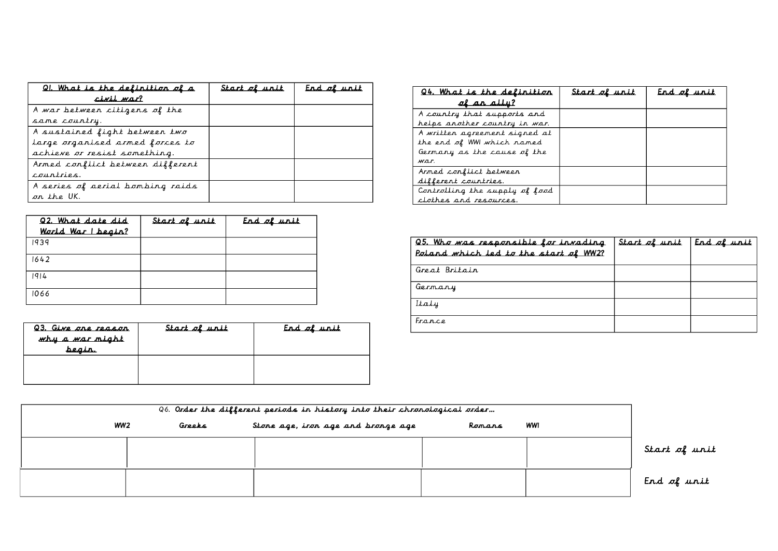| <u>QI. What is the definition of a</u> | Start of unit | Erd of urit |
|----------------------------------------|---------------|-------------|
| civil war?                             |               |             |
| A war between citizens of the          |               |             |
| same country.                          |               |             |
| A sustained fight between two          |               |             |
| large organised armed forces to        |               |             |
| achieve or resist something.           |               |             |
| Armed conflict between different       |               |             |
| courtries.                             |               |             |
| A series of aerial bombing raids       |               |             |
| on the UK.                             |               |             |

| Q2. What date did<br>World War I begin? | Start of unit | End of unit |
|-----------------------------------------|---------------|-------------|
| 1939                                    |               |             |
| 1642                                    |               |             |
| 1914                                    |               |             |
| 1066                                    |               |             |

| <u>Q3. Give one reason</u><br>why a war might<br><u>beair.</u> | Start of unit | <u>End of unit</u> |
|----------------------------------------------------------------|---------------|--------------------|
|                                                                |               |                    |

| <u>Q4. What is the delinition</u> | Start of unit | End of unit |
|-----------------------------------|---------------|-------------|
| of an ally?                       |               |             |
| A country that supports and       |               |             |
| helps another country in war.     |               |             |
| A written agreement signed at     |               |             |
| the end of WWI which ramed        |               |             |
| Germany as the cause of the       |               |             |
| war.                              |               |             |
| Armed conflict between            |               |             |
| different countries.              |               |             |
| Controlling the supply of food    |               |             |
| clothes and resources.            |               |             |

| Q5. Who was responsible for invading<br>Poland which led to the start of WW2? | Start of unit | End of unit |
|-------------------------------------------------------------------------------|---------------|-------------|
| Great Britain                                                                 |               |             |
| Germany                                                                       |               |             |
| Italy                                                                         |               |             |
| France                                                                        |               |             |

| Q6. Order the different periods in history into their chronological order |        |                                    |        |     |               |
|---------------------------------------------------------------------------|--------|------------------------------------|--------|-----|---------------|
| WW2                                                                       | Greeks | Stone age, iron age and bronge age | Romans | WWI |               |
|                                                                           |        |                                    |        |     | Start of unit |
|                                                                           |        |                                    |        |     | End of unit   |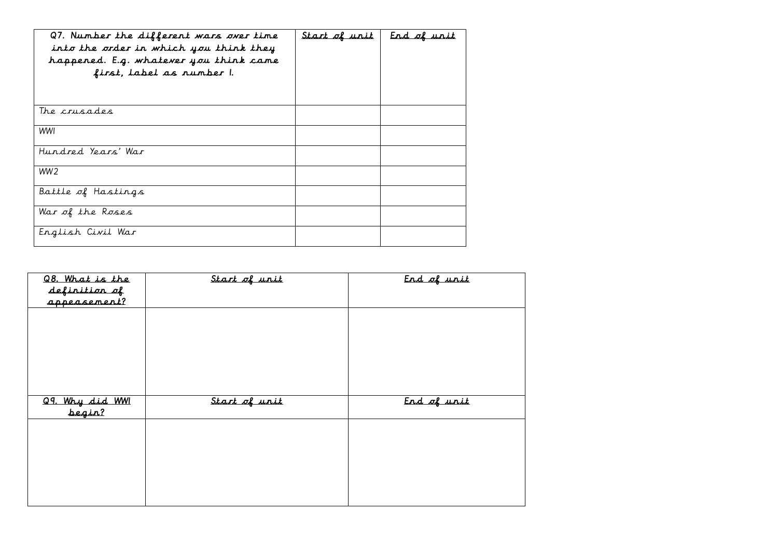| Q7. Number the different wars over time<br>into the order in which you think they<br>happened. E.g. whatever you think came<br>first, label as number 1. | <u>Start of unit</u> | End of unit |
|----------------------------------------------------------------------------------------------------------------------------------------------------------|----------------------|-------------|
| The crusades                                                                                                                                             |                      |             |
| WWI                                                                                                                                                      |                      |             |
| Hundred Years' War                                                                                                                                       |                      |             |
| WW <sub>2</sub>                                                                                                                                          |                      |             |
| Battle of Hastings                                                                                                                                       |                      |             |
| War of the Roses                                                                                                                                         |                      |             |
| English Civil War                                                                                                                                        |                      |             |